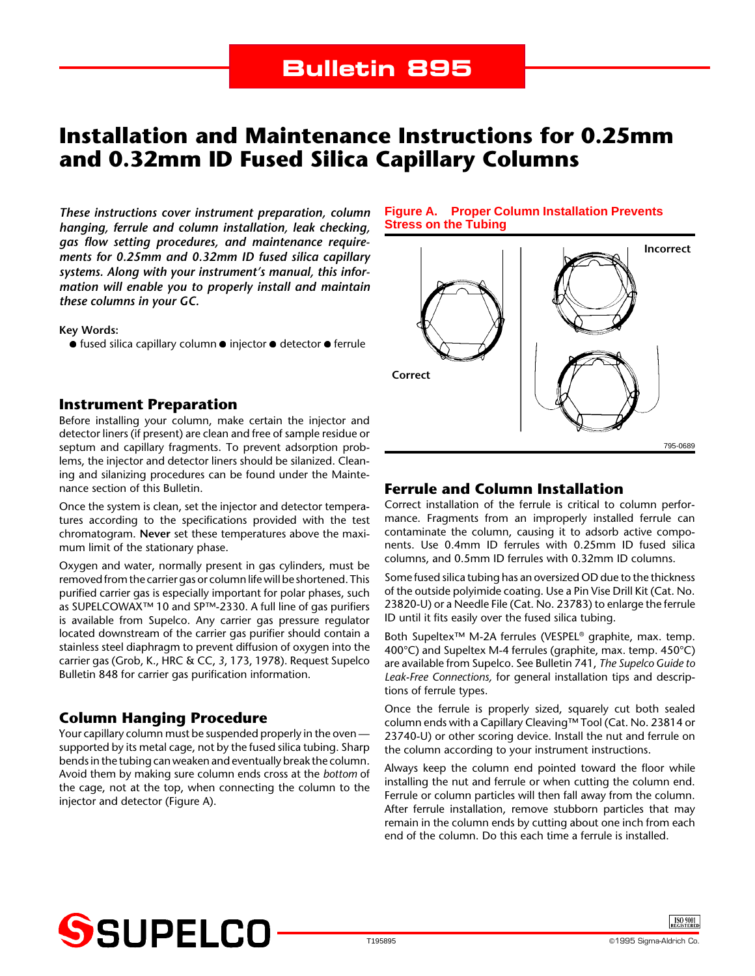# **Installation and Maintenance Instructions for 0.25mm and 0.32mm ID Fused Silica Capillary Columns**

*These instructions cover instrument preparation, column hanging, ferrule and column installation, leak checking, gas flow setting procedures, and maintenance requirements for 0.25mm and 0.32mm ID fused silica capillary systems. Along with your instrument's manual, this information will enable you to properly install and maintain these columns in your GC.*

**Key Words:**

 $\bullet$  fused silica capillary column  $\bullet$  injector  $\bullet$  detector  $\bullet$  ferrule

#### **Instrument Preparation**

Before installing your column, make certain the injector and detector liners (if present) are clean and free of sample residue or septum and capillary fragments. To prevent adsorption problems, the injector and detector liners should be silanized. Cleaning and silanizing procedures can be found under the Maintenance section of this Bulletin.

Once the system is clean, set the injector and detector temperatures according to the specifications provided with the test chromatogram. **Never** set these temperatures above the maximum limit of the stationary phase.

Oxygen and water, normally present in gas cylinders, must be removed from the carrier gas or column life will be shortened. This purified carrier gas is especially important for polar phases, such as SUPELCOWAX™ 10 and SP™-2330. A full line of gas purifiers is available from Supelco. Any carrier gas pressure regulator located downstream of the carrier gas purifier should contain a stainless steel diaphragm to prevent diffusion of oxygen into the carrier gas (Grob, K., HRC & CC, *3*, 173, 1978). Request Supelco Bulletin 848 for carrier gas purification information.

## **Column Hanging Procedure**

Your capillary column must be suspended properly in the oven supported by its metal cage, not by the fused silica tubing. Sharp bends in the tubing can weaken and eventually break the column. Avoid them by making sure column ends cross at the *bottom* of the cage, not at the top, when connecting the column to the injector and detector (Figure A).

#### **Figure A. Proper Column Installation Prevents Stress on the Tubing**



## **Ferrule and Column Installation**

Correct installation of the ferrule is critical to column performance. Fragments from an improperly installed ferrule can contaminate the column, causing it to adsorb active components. Use 0.4mm ID ferrules with 0.25mm ID fused silica columns, and 0.5mm ID ferrules with 0.32mm ID columns.

Some fused silica tubing has an oversized OD due to the thickness of the outside polyimide coating. Use a Pin Vise Drill Kit (Cat. No. 23820-U) or a Needle File (Cat. No. 23783) to enlarge the ferrule ID until it fits easily over the fused silica tubing.

Both Supeltex™ M-2A ferrules (VESPEL® graphite, max. temp. 400°C) and Supeltex M-4 ferrules (graphite, max. temp. 450°C) are available from Supelco. See Bulletin 741, *The Supelco Guide to Leak-Free Connections,* for general installation tips and descriptions of ferrule types.

Once the ferrule is properly sized, squarely cut both sealed column ends with a Capillary Cleaving™ Tool (Cat. No. 23814 or 23740-U) or other scoring device. Install the nut and ferrule on the column according to your instrument instructions.

Always keep the column end pointed toward the floor while installing the nut and ferrule or when cutting the column end. Ferrule or column particles will then fall away from the column. After ferrule installation, remove stubborn particles that may remain in the column ends by cutting about one inch from each end of the column. Do this each time a ferrule is installed.

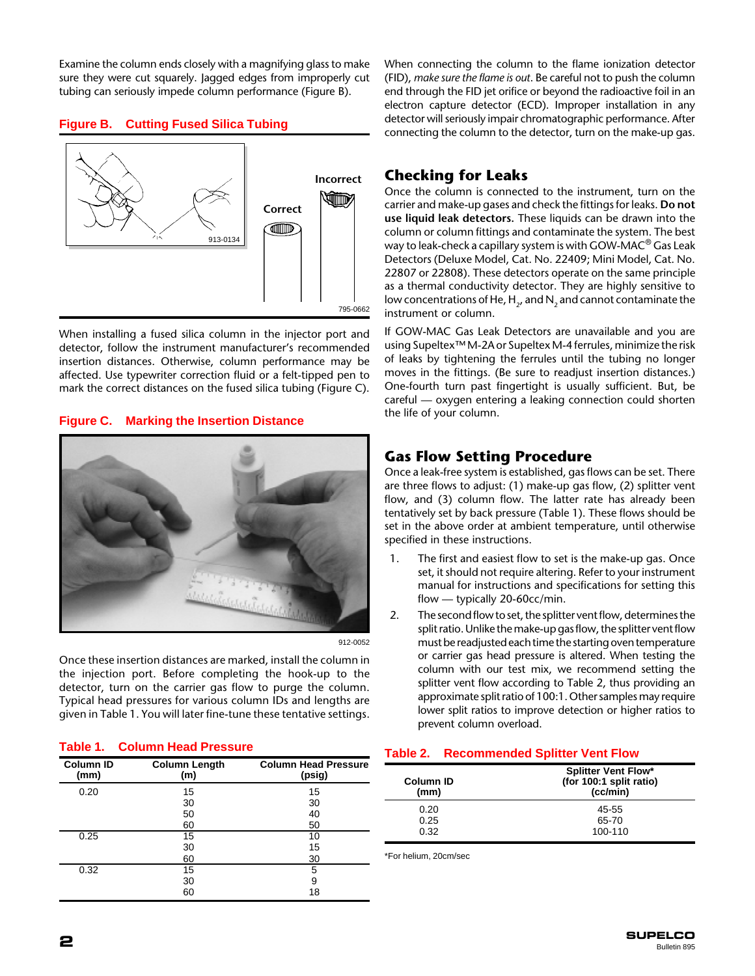Examine the column ends closely with a magnifying glass to make sure they were cut squarely. Jagged edges from improperly cut tubing can seriously impede column performance (Figure B).

### **Figure B. Cutting Fused Silica Tubing**



When installing a fused silica column in the injector port and detector, follow the instrument manufacturer's recommended insertion distances. Otherwise, column performance may be affected. Use typewriter correction fluid or a felt-tipped pen to mark the correct distances on the fused silica tubing (Figure C).

#### **Figure C. Marking the Insertion Distance**



912-0052

Once these insertion distances are marked, install the column in the injection port. Before completing the hook-up to the detector, turn on the carrier gas flow to purge the column. Typical head pressures for various column IDs and lengths are given in Table 1. You will later fine-tune these tentative settings.

#### **Table 1. Column Head Pressure**

| <b>Column ID</b><br>(mm) | <b>Column Length</b><br>(m) | <b>Column Head Pressure</b><br>(psig) |
|--------------------------|-----------------------------|---------------------------------------|
| 0.20                     | 15                          | 15                                    |
|                          | 30                          | 30                                    |
|                          | 50                          | 40                                    |
|                          | 60                          | 50                                    |
| 0.25                     | 15                          | 10                                    |
|                          | 30                          | 15                                    |
|                          | 60                          | 30                                    |
| 0.32                     | 15                          | 5                                     |
|                          | 30                          | 9                                     |
|                          | 60                          | 18                                    |

When connecting the column to the flame ionization detector (FID), *make sure the flame is out*. Be careful not to push the column end through the FID jet orifice or beyond the radioactive foil in an electron capture detector (ECD). Improper installation in any detector will seriously impair chromatographic performance. After connecting the column to the detector, turn on the make-up gas.

## **Checking for Leaks**

Once the column is connected to the instrument, turn on the carrier and make-up gases and check the fittings for leaks. **Do not use liquid leak detectors.** These liquids can be drawn into the column or column fittings and contaminate the system. The best way to leak-check a capillary system is with GOW-MAC<sup>®</sup> Gas Leak Detectors (Deluxe Model, Cat. No. 22409; Mini Model, Cat. No. 22807 or 22808). These detectors operate on the same principle as a thermal conductivity detector. They are highly sensitive to low concentrations of He,  $H<sub>2</sub>$ , and N<sub>2</sub> and cannot contaminate the instrument or column.

If GOW-MAC Gas Leak Detectors are unavailable and you are using Supeltex™ M-2A or Supeltex M-4 ferrules, minimize the risk of leaks by tightening the ferrules until the tubing no longer moves in the fittings. (Be sure to readjust insertion distances.) One-fourth turn past fingertight is usually sufficient. But, be careful — oxygen entering a leaking connection could shorten the life of your column.

## **Gas Flow Setting Procedure**

Once a leak-free system is established, gas flows can be set. There are three flows to adjust: (1) make-up gas flow, (2) splitter vent flow, and (3) column flow. The latter rate has already been tentatively set by back pressure (Table 1). These flows should be set in the above order at ambient temperature, until otherwise specified in these instructions.

- 1. The first and easiest flow to set is the make-up gas. Once set, it should not require altering. Refer to your instrument manual for instructions and specifications for setting this flow — typically 20-60cc/min.
- 2. The second flow to set, the splitter vent flow, determines the split ratio. Unlike the make-up gas flow, the splitter vent flow must be readjusted each time the starting oven temperature or carrier gas head pressure is altered. When testing the column with our test mix, we recommend setting the splitter vent flow according to Table 2, thus providing an approximate split ratio of 100:1. Other samples may require lower split ratios to improve detection or higher ratios to prevent column overload.

#### **Table 2. Recommended Splitter Vent Flow**

| Column ID<br>(mm) | <b>Splitter Vent Flow*</b><br>(for 100:1 split ratio)<br>(cclmin) |  |
|-------------------|-------------------------------------------------------------------|--|
| 0.20              | 45-55                                                             |  |
| 0.25              | 65-70                                                             |  |
| 0.32              | 100-110                                                           |  |

\*For helium, 20cm/sec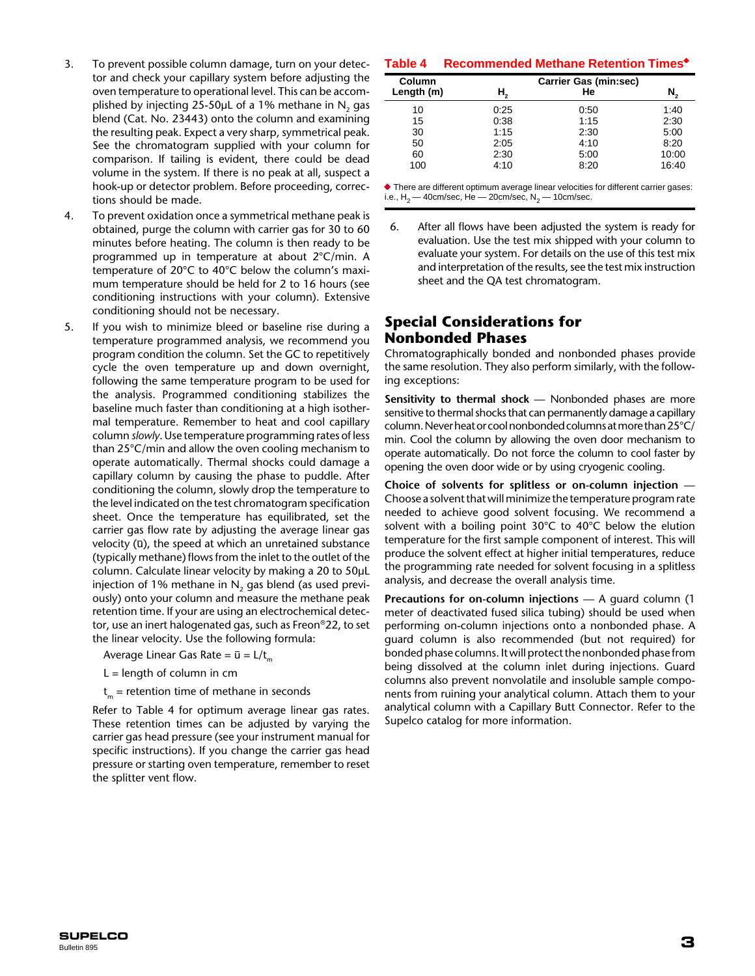- 3. To prevent possible column damage, turn on your detector and check your capillary system before adjusting the oven temperature to operational level. This can be accomplished by injecting 25-50 $\mu$ L of a 1% methane in N<sub>2</sub> gas blend (Cat. No. 23443) onto the column and examining the resulting peak. Expect a very sharp, symmetrical peak. See the chromatogram supplied with your column for comparison. If tailing is evident, there could be dead volume in the system. If there is no peak at all, suspect a hook-up or detector problem. Before proceeding, corrections should be made.
- 4. To prevent oxidation once a symmetrical methane peak is obtained, purge the column with carrier gas for 30 to 60 minutes before heating. The column is then ready to be programmed up in temperature at about 2°C/min. A temperature of 20°C to 40°C below the column's maximum temperature should be held for 2 to 16 hours (see conditioning instructions with your column). Extensive conditioning should not be necessary.
- 5. If you wish to minimize bleed or baseline rise during a temperature programmed analysis, we recommend you program condition the column. Set the GC to repetitively cycle the oven temperature up and down overnight, following the same temperature program to be used for the analysis. Programmed conditioning stabilizes the baseline much faster than conditioning at a high isothermal temperature. Remember to heat and cool capillary column *slowly*. Use temperature programming rates of less than 25°C/min and allow the oven cooling mechanism to operate automatically. Thermal shocks could damage a capillary column by causing the phase to puddle. After conditioning the column, slowly drop the temperature to the level indicated on the test chromatogram specification sheet. Once the temperature has equilibrated, set the carrier gas flow rate by adjusting the average linear gas velocity  $(\bar{u})$ , the speed at which an unretained substance (typically methane) flows from the inlet to the outlet of the column. Calculate linear velocity by making a 20 to 50µL injection of 1% methane in  $N<sub>2</sub>$  gas blend (as used previously) onto your column and measure the methane peak retention time. If your are using an electrochemical detector, use an inert halogenated gas, such as Freon®22, to set the linear velocity. Use the following formula:

Average Linear Gas Rate =  $\bar{u} = L/t_m$ 

- $L =$  length of column in cm
- $t_m$  = retention time of methane in seconds

Refer to Table 4 for optimum average linear gas rates. These retention times can be adjusted by varying the carrier gas head pressure (see your instrument manual for specific instructions). If you change the carrier gas head pressure or starting oven temperature, remember to reset the splitter vent flow.

#### Table 4 Recommended Methane Retention Times<sup>\*</sup>

| Column<br>Length (m) | Η,   | Carrier Gas (min:sec)<br>He |       |
|----------------------|------|-----------------------------|-------|
| 10                   | 0:25 | 0:50                        | 1:40  |
| 15                   | 0:38 | 1:15                        | 2:30  |
| 30                   | 1:15 | 2:30                        | 5:00  |
| 50                   | 2:05 | 4:10                        | 8:20  |
| 60                   | 2:30 | 5:00                        | 10:00 |
| 100                  | 4:10 | 8:20                        | 16:40 |

 $\blacklozenge$  There are different optimum average linear velocities for different carrier gases: i.e.,  ${\sf H}_{\sf 2}$  — 40cm/sec, He — 20cm/sec,  ${\sf N}_{\sf 2}$  — 10cm/sec.

6. After all flows have been adjusted the system is ready for evaluation. Use the test mix shipped with your column to evaluate your system. For details on the use of this test mix and interpretation of the results, see the test mix instruction sheet and the QA test chromatogram.

## **Special Considerations for Nonbonded Phases**

Chromatographically bonded and nonbonded phases provide the same resolution. They also perform similarly, with the following exceptions:

**Sensitivity to thermal shock** — Nonbonded phases are more sensitive to thermal shocks that can permanently damage a capillary column. Never heat or cool nonbonded columns at more than 25°C/ min. Cool the column by allowing the oven door mechanism to operate automatically. Do not force the column to cool faster by opening the oven door wide or by using cryogenic cooling.

**Choice of solvents for splitless or on-column injection** — Choose a solvent that will minimize the temperature program rate needed to achieve good solvent focusing. We recommend a solvent with a boiling point 30°C to 40°C below the elution temperature for the first sample component of interest. This will produce the solvent effect at higher initial temperatures, reduce the programming rate needed for solvent focusing in a splitless analysis, and decrease the overall analysis time.

**Precautions for on-column injections** — A guard column (1 meter of deactivated fused silica tubing) should be used when performing on-column injections onto a nonbonded phase. A guard column is also recommended (but not required) for bonded phase columns. It will protect the nonbonded phase from being dissolved at the column inlet during injections. Guard columns also prevent nonvolatile and insoluble sample components from ruining your analytical column. Attach them to your analytical column with a Capillary Butt Connector. Refer to the Supelco catalog for more information.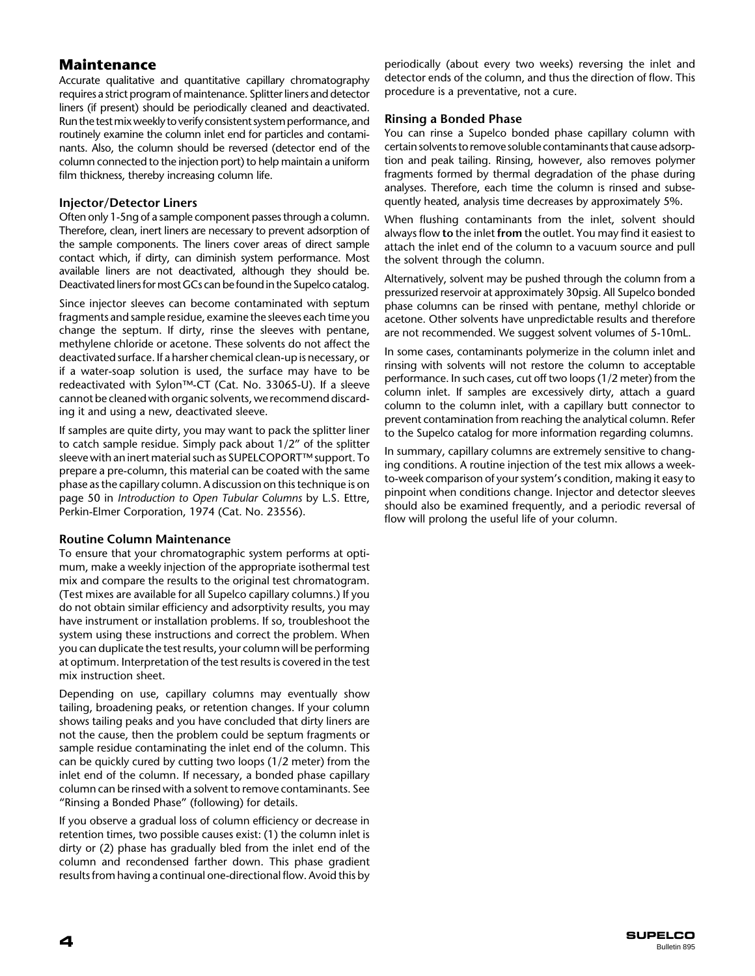## **Maintenance**

Accurate qualitative and quantitative capillary chromatography requires a strict program of maintenance. Splitter liners and detector liners (if present) should be periodically cleaned and deactivated. Run the test mix weekly to verify consistent system performance, and routinely examine the column inlet end for particles and contaminants. Also, the column should be reversed (detector end of the column connected to the injection port) to help maintain a uniform film thickness, thereby increasing column life.

#### **Injector/Detector Liners**

Often only 1-5ng of a sample component passes through a column. Therefore, clean, inert liners are necessary to prevent adsorption of the sample components. The liners cover areas of direct sample contact which, if dirty, can diminish system performance. Most available liners are not deactivated, although they should be. Deactivated liners for most GCs can be found in the Supelco catalog.

Since injector sleeves can become contaminated with septum fragments and sample residue, examine the sleeves each time you change the septum. If dirty, rinse the sleeves with pentane, methylene chloride or acetone. These solvents do not affect the deactivated surface. If a harsher chemical clean-up is necessary, or if a water-soap solution is used, the surface may have to be redeactivated with Sylon™-CT (Cat. No. 33065-U). If a sleeve cannot be cleaned with organic solvents, we recommend discarding it and using a new, deactivated sleeve.

If samples are quite dirty, you may want to pack the splitter liner to catch sample residue. Simply pack about 1/2" of the splitter sleeve with an inert material such as SUPELCOPORT™ support. To prepare a pre-column, this material can be coated with the same phase as the capillary column. A discussion on this technique is on page 50 in *Introduction to Open Tubular Columns* by L.S. Ettre, Perkin-Elmer Corporation, 1974 (Cat. No. 23556).

#### **Routine Column Maintenance**

To ensure that your chromatographic system performs at optimum, make a weekly injection of the appropriate isothermal test mix and compare the results to the original test chromatogram. (Test mixes are available for all Supelco capillary columns.) If you do not obtain similar efficiency and adsorptivity results, you may have instrument or installation problems. If so, troubleshoot the system using these instructions and correct the problem. When you can duplicate the test results, your column will be performing at optimum. Interpretation of the test results is covered in the test mix instruction sheet.

Depending on use, capillary columns may eventually show tailing, broadening peaks, or retention changes. If your column shows tailing peaks and you have concluded that dirty liners are not the cause, then the problem could be septum fragments or sample residue contaminating the inlet end of the column. This can be quickly cured by cutting two loops (1/2 meter) from the inlet end of the column. If necessary, a bonded phase capillary column can be rinsed with a solvent to remove contaminants. See "Rinsing a Bonded Phase" (following) for details.

If you observe a gradual loss of column efficiency or decrease in retention times, two possible causes exist: (1) the column inlet is dirty or (2) phase has gradually bled from the inlet end of the column and recondensed farther down. This phase gradient results from having a continual one-directional flow. Avoid this by

periodically (about every two weeks) reversing the inlet and detector ends of the column, and thus the direction of flow. This procedure is a preventative, not a cure.

#### **Rinsing a Bonded Phase**

You can rinse a Supelco bonded phase capillary column with certain solvents to remove soluble contaminants that cause adsorption and peak tailing. Rinsing, however, also removes polymer fragments formed by thermal degradation of the phase during analyses. Therefore, each time the column is rinsed and subsequently heated, analysis time decreases by approximately 5%.

When flushing contaminants from the inlet, solvent should always flow **to** the inlet **from** the outlet. You may find it easiest to attach the inlet end of the column to a vacuum source and pull the solvent through the column.

Alternatively, solvent may be pushed through the column from a pressurized reservoir at approximately 30psig. All Supelco bonded phase columns can be rinsed with pentane, methyl chloride or acetone. Other solvents have unpredictable results and therefore are not recommended. We suggest solvent volumes of 5-10mL.

In some cases, contaminants polymerize in the column inlet and rinsing with solvents will not restore the column to acceptable performance. In such cases, cut off two loops (1/2 meter) from the column inlet. If samples are excessively dirty, attach a guard column to the column inlet, with a capillary butt connector to prevent contamination from reaching the analytical column. Refer to the Supelco catalog for more information regarding columns.

In summary, capillary columns are extremely sensitive to changing conditions. A routine injection of the test mix allows a weekto-week comparison of your system's condition, making it easy to pinpoint when conditions change. Injector and detector sleeves should also be examined frequently, and a periodic reversal of flow will prolong the useful life of your column.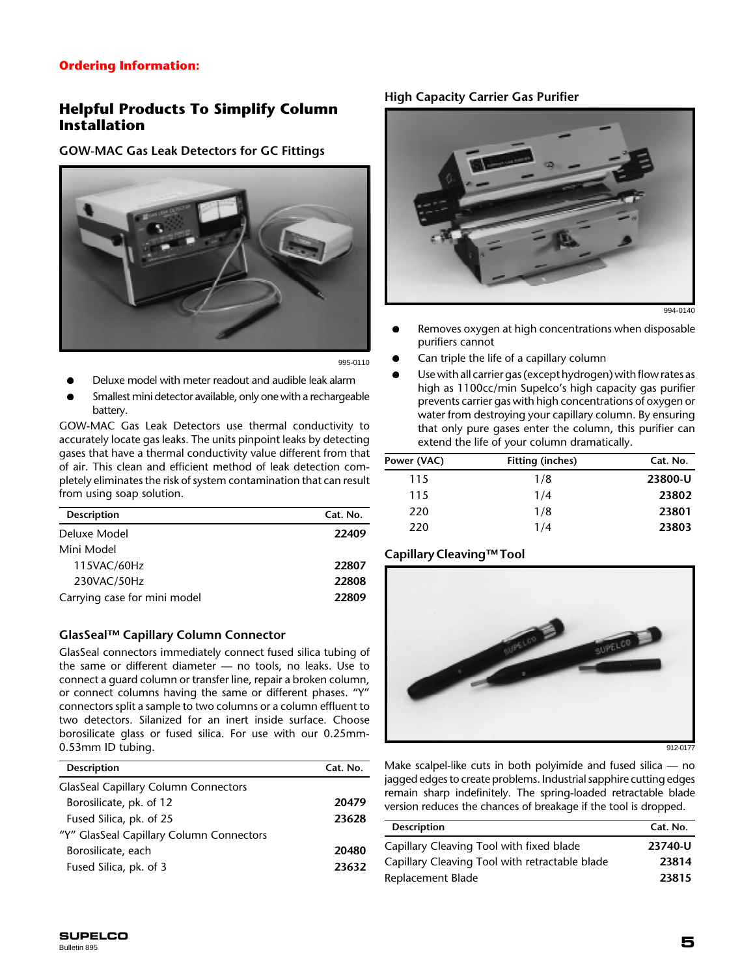### **Ordering Information:**

## **Helpful Products To Simplify Column Installation**

#### **GOW-MAC Gas Leak Detectors for GC Fittings**



995-0110

- Deluxe model with meter readout and audible leak alarm
- Smallest mini detector available, only one with a rechargeable battery.

GOW-MAC Gas Leak Detectors use thermal conductivity to accurately locate gas leaks. The units pinpoint leaks by detecting gases that have a thermal conductivity value different from that of air. This clean and efficient method of leak detection completely eliminates the risk of system contamination that can result from using soap solution.

| <b>Description</b>           | Cat. No. |
|------------------------------|----------|
| Deluxe Model                 | 22409    |
| Mini Model                   |          |
| 115VAC/60Hz                  | 22807    |
| 230VAC/50Hz                  | 22808    |
| Carrying case for mini model | 22809    |
|                              |          |

#### **GlasSeal™ Capillary Column Connector**

GlasSeal connectors immediately connect fused silica tubing of the same or different diameter — no tools, no leaks. Use to connect a guard column or transfer line, repair a broken column, or connect columns having the same or different phases. "Y" connectors split a sample to two columns or a column effluent to two detectors. Silanized for an inert inside surface. Choose borosilicate glass or fused silica. For use with our 0.25mm-0.53mm ID tubing.

| <b>Description</b>                          | Cat. No. |
|---------------------------------------------|----------|
| <b>GlasSeal Capillary Column Connectors</b> |          |
| Borosilicate, pk. of 12                     | 20479    |
| Fused Silica, pk. of 25                     | 23628    |
| "Y" GlasSeal Capillary Column Connectors    |          |
| Borosilicate, each                          | 20480    |
| Fused Silica, pk. of 3                      | 23632    |
|                                             |          |

#### **High Capacity Carrier Gas Purifier**



994-0140

- Removes oxygen at high concentrations when disposable purifiers cannot
- Can triple the life of a capillary column
- l Use with all carrier gas (except hydrogen) with flow rates as high as 1100cc/min Supelco's high capacity gas purifier prevents carrier gas with high concentrations of oxygen or water from destroying your capillary column. By ensuring that only pure gases enter the column, this purifier can extend the life of your column dramatically.

| Power (VAC) | <b>Fitting (inches)</b> | Cat. No. |
|-------------|-------------------------|----------|
| 115         | 1/8                     | 23800-U  |
| 115         | 1/4                     | 23802    |
| 220         | 1/8                     | 23801    |
| 220         | 1/4                     | 23803    |

#### **Capillary Cleaving™ Tool**



912-0177

Make scalpel-like cuts in both polyimide and fused silica — no jagged edges to create problems. Industrial sapphire cutting edges remain sharp indefinitely. The spring-loaded retractable blade version reduces the chances of breakage if the tool is dropped.

| <b>Description</b>                             | Cat. No. |
|------------------------------------------------|----------|
| Capillary Cleaving Tool with fixed blade       | 23740-U  |
| Capillary Cleaving Tool with retractable blade | 23814    |
| Replacement Blade                              | 23815    |